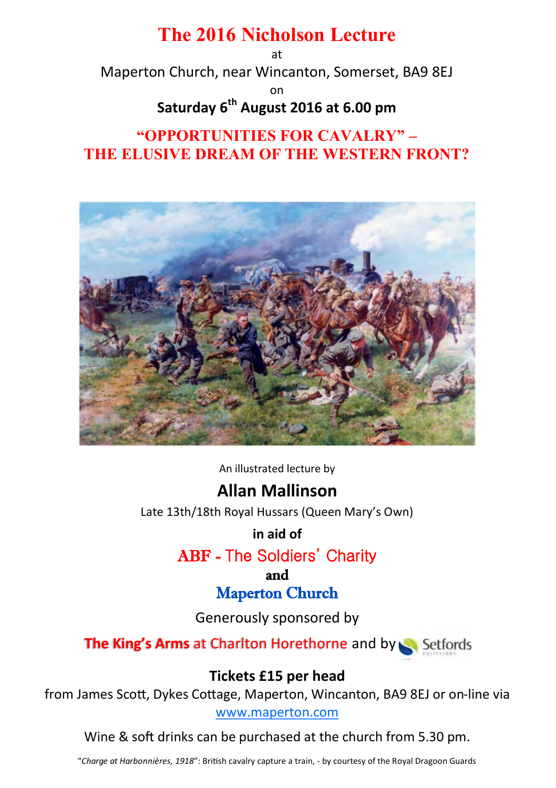# **The 2016 Nicholson Lecture**

at Maperton Church, near Wincanton, Somerset, BA9 8EJ on

# **Saturday 6th August 2016 at 6.00 pm**

## **"OPPORTUNITIES FOR CAVALRY" – THE ELUSIVE DREAM OF THE WESTERN FRONT?**



An illustrated lecture by

## **Allan Mallinson**

Late 13th/18th Royal Hussars (Queen Mary's Own)

### **in aid of**

## ABF - The Soldiers' Charity

and

Maperton Church

Generously sponsored by

**The King's Arms at Charlton Horethorne and by Setfords** 

## **Tickets £15 per head**

from James Scott, Dykes Cottage, Maperton, Wincanton, BA9 8EJ or on-line via www.maperton.com

Wine & soft drinks can be purchased at the church from 5.30 pm.

"*Charge at Harbonnières, 1918*": British cavalry capture a train, - by courtesy of the Royal Dragoon Guards